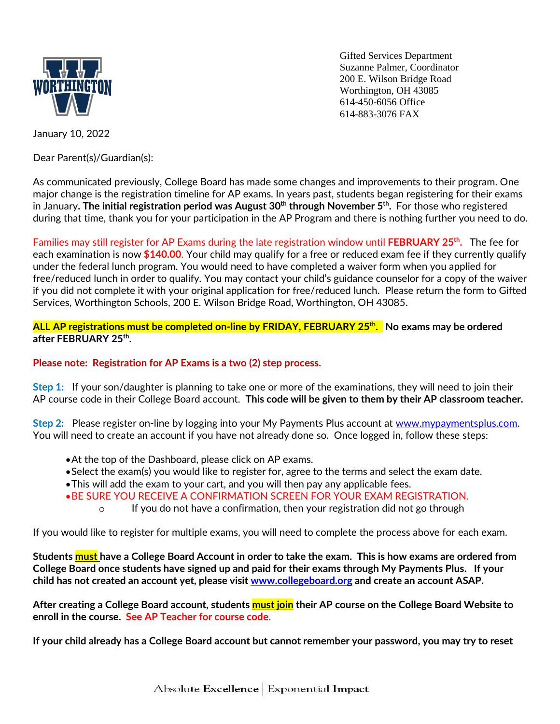

Gifted Services Department Suzanne Palmer, Coordinator 200 E. Wilson Bridge Road Worthington, OH 43085 614-450-6056 Office 614-883-3076 FAX

January 10, 2022

Dear Parent(s)/Guardian(s):

As communicated previously, College Board has made some changes and improvements to their program. One major change is the registration timeline for AP exams. In years past, students began registering for their exams in January**. The initial registration period was August 30 th through November 5th .** For those who registered during that time, thank you for your participation in the AP Program and there is nothing further you need to do.

Families may still register for AP Exams during the late registration window until **FEBRUARY 25 th .** The fee for each examination is now **\$140.00**. Your child may qualify for a free or reduced exam fee if they currently qualify under the federal lunch program. You would need to have completed a waiver form when you applied for free/reduced lunch in order to qualify. You may contact your child's guidance counselor for a copy of the waiver if you did not complete it with your original application for free/reduced lunch. Please return the form to Gifted Services, Worthington Schools, 200 E. Wilson Bridge Road, Worthington, OH 43085.

**ALL AP registrations must be completed on-line by FRIDAY, FEBRUARY 25 th . No exams may be ordered after FEBRUARY 25th .** 

**Please note: Registration for AP Exams is a two (2) step process.** 

**Step 1:** If your son/daughter is planning to take one or more of the examinations, they will need to join their AP course code in their College Board account. **This code will be given to them by their AP classroom teacher.**

**Step 2:** Please register on-line by logging into your My Payments Plus account at [www.mypaymentsplus.com.](http://www.mypaymentsplus.com/) You will need to create an account if you have not already done so. Once logged in, follow these steps:

- At the top of the Dashboard, please click on AP exams.
- Select the exam(s) you would like to register for, agree to the terms and select the exam date.
- This will add the exam to your cart, and you will then pay any applicable fees.
- BE SURE YOU RECEIVE A CONFIRMATION SCREEN FOR YOUR EXAM REGISTRATION.
	- $\circ$  If you do not have a confirmation, then your registration did not go through

If you would like to register for multiple exams, you will need to complete the process above for each exam.

**Students must have a College Board Account in order to take the exam. This is how exams are ordered from College Board once students have signed up and paid for their exams through My Payments Plus. If your child has not created an account yet, please visit [www.collegeboard.org](http://www.collegeboard.org/) and create an account ASAP.** 

**After creating a College Board account, students must join their AP course on the College Board Website to enroll in the course. See AP Teacher for course code.**

**If your child already has a College Board account but cannot remember your password, you may try to reset**